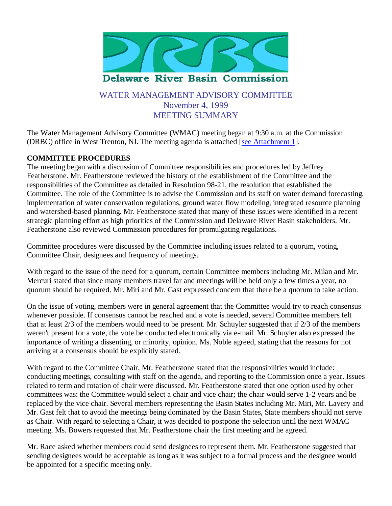

# WATER MANAGEMENT ADVISORY COMMITTEE November 4, 1999 MEETING SUMMARY

The Water Management Advisory Committee (WMAC) meeting began at 9:30 a.m. at the Commission (DRBC) office in West Trenton, NJ. The meeting agenda is attached [see Attachment 1].

### **COMMITTEE PROCEDURES**

The meeting began with a discussion of Committee responsibilities and procedures led by Jeffrey Featherstone. Mr. Featherstone reviewed the history of the establishment of the Committee and the responsibilities of the Committee as detailed in Resolution 98-21, the resolution that established the Committee. The role of the Committee is to advise the Commission and its staff on water demand forecasting, implementation of water conservation regulations, ground water flow modeling, integrated resource planning and watershed-based planning. Mr. Featherstone stated that many of these issues were identified in a recent strategic planning effort as high priorities of the Commission and Delaware River Basin stakeholders. Mr. Featherstone also reviewed Commission procedures for promulgating regulations.

Committee procedures were discussed by the Committee including issues related to a quorum, voting, Committee Chair, designees and frequency of meetings.

With regard to the issue of the need for a quorum, certain Committee members including Mr. Milan and Mr. Mercuri stated that since many members travel far and meetings will be held only a few times a year, no quorum should be required. Mr. Miri and Mr. Gast expressed concern that there be a quorum to take action.

On the issue of voting, members were in general agreement that the Committee would try to reach consensus whenever possible. If consensus cannot be reached and a vote is needed, several Committee members felt that at least 2/3 of the members would need to be present. Mr. Schuyler suggested that if 2/3 of the members weren't present for a vote, the vote be conducted electronically via e-mail. Mr. Schuyler also expressed the importance of writing a dissenting, or minority, opinion. Ms. Noble agreed, stating that the reasons for not arriving at a consensus should be explicitly stated.

With regard to the Committee Chair, Mr. Featherstone stated that the responsibilities would include: conducting meetings, consulting with staff on the agenda, and reporting to the Commission once a year. Issues related to term and rotation of chair were discussed. Mr. Featherstone stated that one option used by other committees was: the Committee would select a chair and vice chair; the chair would serve 1-2 years and be replaced by the vice chair. Several members representing the Basin States including Mr. Miri, Mr. Lavery and Mr. Gast felt that to avoid the meetings being dominated by the Basin States, State members should not serve as Chair. With regard to selecting a Chair, it was decided to postpone the selection until the next WMAC meeting. Ms. Bowers requested that Mr. Featherstone chair the first meeting and he agreed.

Mr. Race asked whether members could send designees to represent them. Mr. Featherstone suggested that sending designees would be acceptable as long as it was subject to a formal process and the designee would be appointed for a specific meeting only.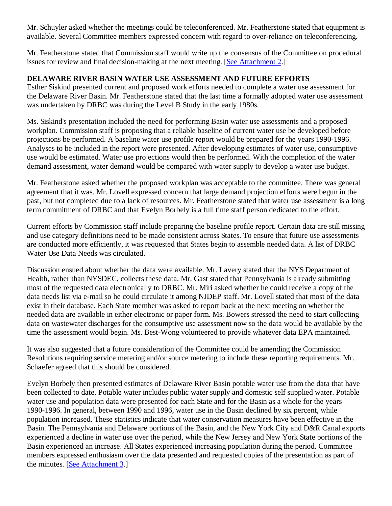Mr. Schuyler asked whether the meetings could be teleconferenced. Mr. Featherstone stated that equipment is available. Several Committee members expressed concern with regard to over-reliance on teleconferencing.

Mr. Featherstone stated that Commission staff would write up the consensus of the Committee on procedural issues for review and final decision-making at the next meeting. [See Attachment 2.]

### **DELAWARE RIVER BASIN WATER USE ASSESSMENT AND FUTURE EFFORTS**

Esther Siskind presented current and proposed work efforts needed to complete a water use assessment for the Delaware River Basin. Mr. Featherstone stated that the last time a formally adopted water use assessment was undertaken by DRBC was during the Level B Study in the early 1980s.

Ms. Siskind's presentation included the need for performing Basin water use assessments and a proposed workplan. Commission staff is proposing that a reliable baseline of current water use be developed before projections be performed. A baseline water use profile report would be prepared for the years 1990-1996. Analyses to be included in the report were presented. After developing estimates of water use, consumptive use would be estimated. Water use projections would then be performed. With the completion of the water demand assessment, water demand would be compared with water supply to develop a water use budget.

Mr. Featherstone asked whether the proposed workplan was acceptable to the committee. There was general agreement that it was. Mr. Lovell expressed concern that large demand projection efforts were begun in the past, but not completed due to a lack of resources. Mr. Featherstone stated that water use assessment is a long term commitment of DRBC and that Evelyn Borbely is a full time staff person dedicated to the effort.

Current efforts by Commission staff include preparing the baseline profile report. Certain data are still missing and use category definitions need to be made consistent across States. To ensure that future use assessments are conducted more efficiently, it was requested that States begin to assemble needed data. A list of DRBC Water Use Data Needs was circulated.

Discussion ensued about whether the data were available. Mr. Lavery stated that the NYS Department of Health, rather than NYSDEC, collects these data. Mr. Gast stated that Pennsylvania is already submitting most of the requested data electronically to DRBC. Mr. Miri asked whether he could receive a copy of the data needs list via e-mail so he could circulate it among NJDEP staff. Mr. Lovell stated that most of the data exist in their database. Each State member was asked to report back at the next meeting on whether the needed data are available in either electronic or paper form. Ms. Bowers stressed the need to start collecting data on wastewater discharges for the consumptive use assessment now so the data would be available by the time the assessment would begin. Ms. Best-Wong volunteered to provide whatever data EPA maintained.

It was also suggested that a future consideration of the Committee could be amending the Commission Resolutions requiring service metering and/or source metering to include these reporting requirements. Mr. Schaefer agreed that this should be considered.

Evelyn Borbely then presented estimates of Delaware River Basin potable water use from the data that have been collected to date. Potable water includes public water supply and domestic self supplied water. Potable water use and population data were presented for each State and for the Basin as a whole for the years 1990-1996. In general, between 1990 and 1996, water use in the Basin declined by six percent, while population increased. These statistics indicate that water conservation measures have been effective in the Basin. The Pennsylvania and Delaware portions of the Basin, and the New York City and D&R Canal exports experienced a decline in water use over the period, while the New Jersey and New York State portions of the Basin experienced an increase. All States experienced increasing population during the period. Committee members expressed enthusiasm over the data presented and requested copies of the presentation as part of the minutes. [See Attachment 3.]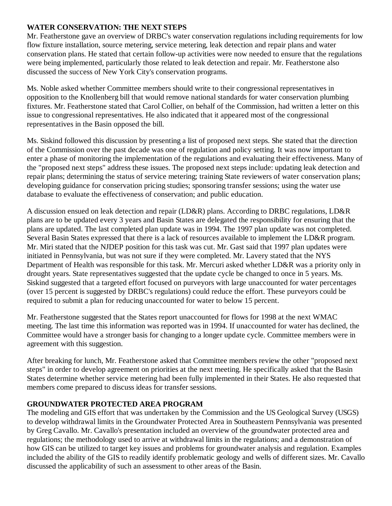#### **WATER CONSERVATION: THE NEXT STEPS**

Mr. Featherstone gave an overview of DRBC's water conservation regulations including requirements for low flow fixture installation, source metering, service metering, leak detection and repair plans and water conservation plans. He stated that certain follow-up activities were now needed to ensure that the regulations were being implemented, particularly those related to leak detection and repair. Mr. Featherstone also discussed the success of New York City's conservation programs.

Ms. Noble asked whether Committee members should write to their congressional representatives in opposition to the Knollenberg bill that would remove national standards for water conservation plumbing fixtures. Mr. Featherstone stated that Carol Collier, on behalf of the Commission, had written a letter on this issue to congressional representatives. He also indicated that it appeared most of the congressional representatives in the Basin opposed the bill.

Ms. Siskind followed this discussion by presenting a list of proposed next steps. She stated that the direction of the Commission over the past decade was one of regulation and policy setting. It was now important to enter a phase of monitoring the implementation of the regulations and evaluating their effectiveness. Many of the "proposed next steps" address these issues. The proposed next steps include: updating leak detection and repair plans; determining the status of service metering; training State reviewers of water conservation plans; developing guidance for conservation pricing studies; sponsoring transfer sessions; using the water use database to evaluate the effectiveness of conservation; and public education.

A discussion ensued on leak detection and repair (LD&R) plans. According to DRBC regulations, LD&R plans are to be updated every 3 years and Basin States are delegated the responsibility for ensuring that the plans are updated. The last completed plan update was in 1994. The 1997 plan update was not completed. Several Basin States expressed that there is a lack of resources available to implement the LD&R program. Mr. Miri stated that the NJDEP position for this task was cut. Mr. Gast said that 1997 plan updates were initiated in Pennsylvania, but was not sure if they were completed. Mr. Lavery stated that the NYS Department of Health was responsible for this task. Mr. Mercuri asked whether LD&R was a priority only in drought years. State representatives suggested that the update cycle be changed to once in 5 years. Ms. Siskind suggested that a targeted effort focused on purveyors with large unaccounted for water percentages (over 15 percent is suggested by DRBC's regulations) could reduce the effort. These purveyors could be required to submit a plan for reducing unaccounted for water to below 15 percent.

Mr. Featherstone suggested that the States report unaccounted for flows for 1998 at the next WMAC meeting. The last time this information was reported was in 1994. If unaccounted for water has declined, the Committee would have a stronger basis for changing to a longer update cycle. Committee members were in agreement with this suggestion.

After breaking for lunch, Mr. Featherstone asked that Committee members review the other "proposed next steps" in order to develop agreement on priorities at the next meeting. He specifically asked that the Basin States determine whether service metering had been fully implemented in their States. He also requested that members come prepared to discuss ideas for transfer sessions.

# **GROUNDWATER PROTECTED AREA PROGRAM**

The modeling and GIS effort that was undertaken by the Commission and the US Geological Survey (USGS) to develop withdrawal limits in the Groundwater Protected Area in Southeastern Pennsylvania was presented by Greg Cavallo. Mr. Cavallo's presentation included an overview of the groundwater protected area and regulations; the methodology used to arrive at withdrawal limits in the regulations; and a demonstration of how GIS can be utilized to target key issues and problems for groundwater analysis and regulation. Examples included the ability of the GIS to readily identify problematic geology and wells of different sizes. Mr. Cavallo discussed the applicability of such an assessment to other areas of the Basin.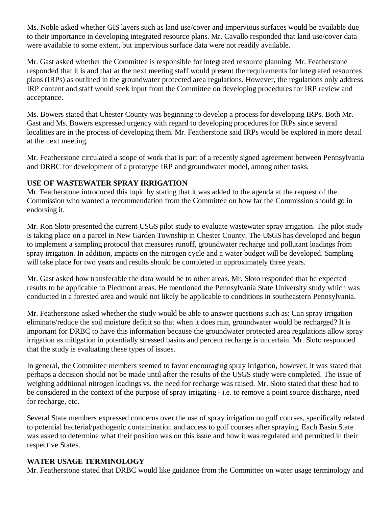Ms. Noble asked whether GIS layers such as land use/cover and impervious surfaces would be available due to their importance in developing integrated resource plans. Mr. Cavallo responded that land use/cover data were available to some extent, but impervious surface data were not readily available.

Mr. Gast asked whether the Committee is responsible for integrated resource planning. Mr. Featherstone responded that it is and that at the next meeting staff would present the requirements for integrated resources plans (IRPs) as outlined in the groundwater protected area regulations. However, the regulations only address IRP content and staff would seek input from the Committee on developing procedures for IRP review and acceptance.

Ms. Bowers stated that Chester County was beginning to develop a process for developing IRPs. Both Mr. Gast and Ms. Bowers expressed urgency with regard to developing procedures for IRPs since several localities are in the process of developing them. Mr. Featherstone said IRPs would be explored in more detail at the next meeting.

Mr. Featherstone circulated a scope of work that is part of a recently signed agreement between Pennsylvania and DRBC for development of a prototype IRP and groundwater model, among other tasks.

#### **USE OF WASTEWATER SPRAY IRRIGATION**

Mr. Featherstone introduced this topic by stating that it was added to the agenda at the request of the Commission who wanted a recommendation from the Committee on how far the Commission should go in endorsing it.

Mr. Ron Sloto presented the current USGS pilot study to evaluate wastewater spray irrigation. The pilot study is taking place on a parcel in New Garden Township in Chester County. The USGS has developed and begun to implement a sampling protocol that measures runoff, groundwater recharge and pollutant loadings from spray irrigation. In addition, impacts on the nitrogen cycle and a water budget will be developed. Sampling will take place for two years and results should be completed in approximately three years.

Mr. Gast asked how transferable the data would be to other areas. Mr. Sloto responded that he expected results to be applicable to Piedmont areas. He mentioned the Pennsylvania State University study which was conducted in a forested area and would not likely be applicable to conditions in southeastern Pennsylvania.

Mr. Featherstone asked whether the study would be able to answer questions such as: Can spray irrigation eliminate/reduce the soil moisture deficit so that when it does rain, groundwater would be recharged? It is important for DRBC to have this information because the groundwater protected area regulations allow spray irrigation as mitigation in potentially stressed basins and percent recharge is uncertain. Mr. Sloto responded that the study is evaluating these types of issues.

In general, the Committee members seemed to favor encouraging spray irrigation, however, it was stated that perhaps a decision should not be made until after the results of the USGS study were completed. The issue of weighing additional nitrogen loadings vs. the need for recharge was raised. Mr. Sloto stated that these had to be considered in the context of the purpose of spray irrigating - i.e. to remove a point source discharge, need for recharge, etc.

Several State members expressed concerns over the use of spray irrigation on golf courses, specifically related to potential bacterial/pathogenic contamination and access to golf courses after spraying. Each Basin State was asked to determine what their position was on this issue and how it was regulated and permitted in their respective States.

#### **WATER USAGE TERMINOLOGY**

Mr. Featherstone stated that DRBC would like guidance from the Committee on water usage terminology and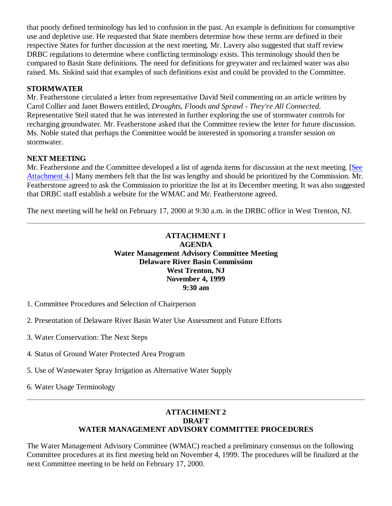that poorly defined terminology has led to confusion in the past. An example is definitions for consumptive use and depletive use. He requested that State members determine how these terms are defined in their respective States for further discussion at the next meeting. Mr. Lavery also suggested that staff review DRBC regulations to determine where conflicting terminology exists. This terminology should then be compared to Basin State definitions. The need for definitions for greywater and reclaimed water was also raised. Ms. Siskind said that examples of such definitions exist and could be provided to the Committee.

### **STORMWATER**

Mr. Featherstone circulated a letter from representative David Steil commenting on an article written by Carol Collier and Janet Bowers entitled, *Droughts, Floods and Sprawl - They're All Connected*. Representative Steil stated that he was interested in further exploring the use of stormwater controls for recharging groundwater. Mr. Featherstone asked that the Committee review the letter for future discussion. Ms. Noble stated that perhaps the Committee would be interested in sponsoring a transfer session on stormwater.

# **NEXT MEETING**

Mr. Featherstone and the Committee developed a list of agenda items for discussion at the next meeting. [See Attachment 4.] Many members felt that the list was lengthy and should be prioritized by the Commission. Mr. Featherstone agreed to ask the Commission to prioritize the list at its December meeting. It was also suggested that DRBC staff establish a website for the WMAC and Mr. Featherstone agreed.

The next meeting will be held on February 17, 2000 at 9:30 a.m. in the DRBC office in West Trenton, NJ.

#### **ATTACHMENT 1 AGENDA Water Management Advisory Committee Meeting Delaware River Basin Commission West Trenton, NJ November 4, 1999 9:30 am**

- 1. Committee Procedures and Selection of Chairperson
- 2. Presentation of Delaware River Basin Water Use Assessment and Future Efforts
- 3. Water Conservation: The Next Steps
- 4. Status of Ground Water Protected Area Program
- 5. Use of Wastewater Spray Irrigation as Alternative Water Supply
- 6. Water Usage Terminology

### **ATTACHMENT 2 DRAFT WATER MANAGEMENT ADVISORY COMMITTEE PROCEDURES**

The Water Management Advisory Committee (WMAC) reached a preliminary consensus on the following Committee procedures at its first meeting held on November 4, 1999. The procedures will be finalized at the next Committee meeting to be held on February 17, 2000.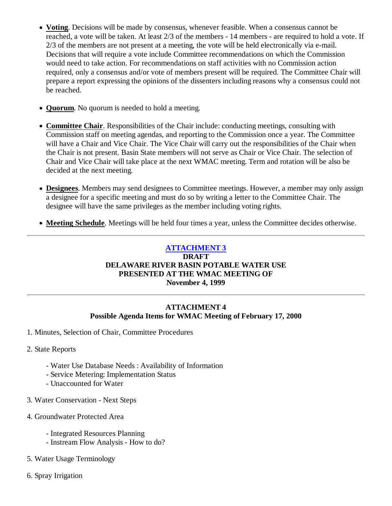- **Voting**. Decisions will be made by consensus, whenever feasible. When a consensus cannot be reached, a vote will be taken. At least 2/3 of the members - 14 members - are required to hold a vote. If 2/3 of the members are not present at a meeting, the vote will be held electronically via e-mail. Decisions that will require a vote include Committee recommendations on which the Commission would need to take action. For recommendations on staff activities with no Commission action required, only a consensus and/or vote of members present will be required. The Committee Chair will prepare a report expressing the opinions of the dissenters including reasons why a consensus could not be reached.
- **Quorum**. No quorum is needed to hold a meeting.
- **Committee Chair**. Responsibilities of the Chair include: conducting meetings, consulting with Commission staff on meeting agendas, and reporting to the Commission once a year. The Committee will have a Chair and Vice Chair. The Vice Chair will carry out the responsibilities of the Chair when the Chair is not present. Basin State members will not serve as Chair or Vice Chair. The selection of Chair and Vice Chair will take place at the next WMAC meeting. Term and rotation will be also be decided at the next meeting.
- **Designees**. Members may send designees to Committee meetings. However, a member may only assign a designee for a specific meeting and must do so by writing a letter to the Committee Chair. The designee will have the same privileges as the member including voting rights.
- **Meeting Schedule**. Meetings will be held four times a year, unless the Committee decides otherwise.

# **ATTACHMENT 3**

#### **DRAFT DELAWARE RIVER BASIN POTABLE WATER USE PRESENTED AT THE WMAC MEETING OF November 4, 1999**

### **ATTACHMENT 4 Possible Agenda Items for WMAC Meeting of February 17, 2000**

- 1. Minutes, Selection of Chair, Committee Procedures
- 2. State Reports
	- Water Use Database Needs : Availability of Information
	- Service Metering: Implementation Status
	- Unaccounted for Water
- 3. Water Conservation Next Steps
- 4. Groundwater Protected Area
	- Integrated Resources Planning
	- Instream Flow Analysis How to do?
- 5. Water Usage Terminology
- 6. Spray Irrigation